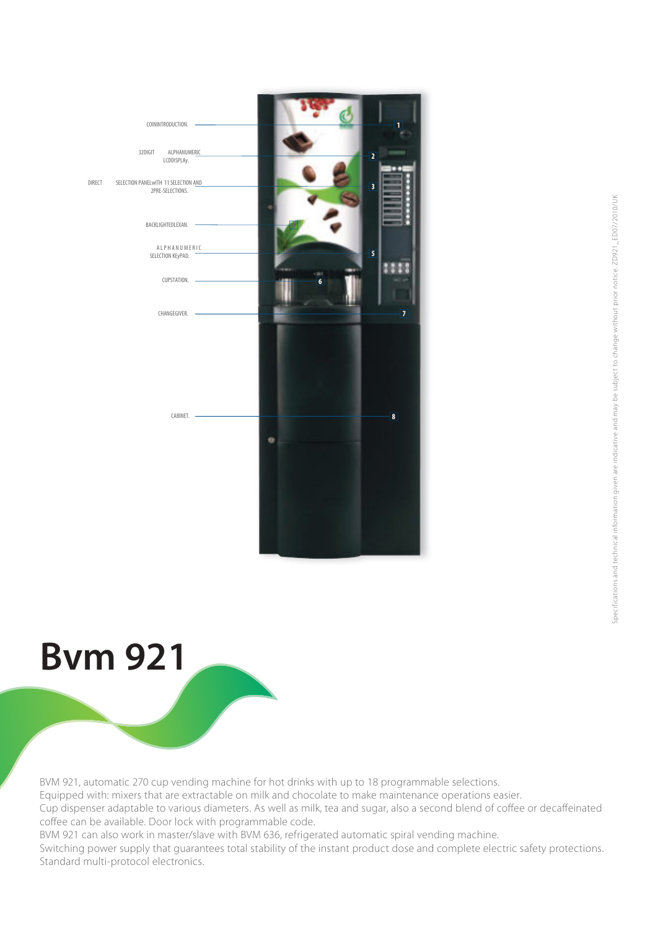



BVM 921, automatic 270 cup vending machine for hot drinks with up to 18 programmable selections. Equipped with: mixers that are extractable on milk and chocolate to make maintenance operations easier. Cup dispenser adaptable to various diameters. As well as milk, tea and sugar, also a second blend of coffee or decaffeinated coffee can be available. Door lock with programmable code. BVM 921 can also work in master/slave with BVM 636, refrigerated automatic spiral vending machine.

Switching power supply that guarantees total stability of the instant product dose and complete electric safety protections.